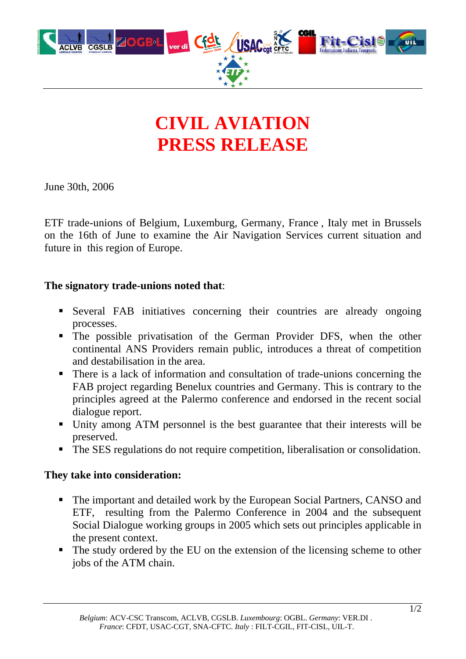

# **CIVIL AVIATION PRESS RELEASE**

June 30th, 2006

ETF trade-unions of Belgium, Luxemburg, Germany, France , Italy met in Brussels on the 16th of June to examine the Air Navigation Services current situation and future in this region of Europe.

#### **The signatory trade-unions noted that**:

- Several FAB initiatives concerning their countries are already ongoing processes.
- The possible privatisation of the German Provider DFS, when the other continental ANS Providers remain public, introduces a threat of competition and destabilisation in the area.
- There is a lack of information and consultation of trade-unions concerning the FAB project regarding Benelux countries and Germany. This is contrary to the principles agreed at the Palermo conference and endorsed in the recent social dialogue report.
- Unity among ATM personnel is the best guarantee that their interests will be preserved.
- The SES regulations do not require competition, liberalisation or consolidation.

#### **They take into consideration:**

- The important and detailed work by the European Social Partners, CANSO and ETF, resulting from the Palermo Conference in 2004 and the subsequent Social Dialogue working groups in 2005 which sets out principles applicable in the present context.
- The study ordered by the EU on the extension of the licensing scheme to other jobs of the ATM chain.